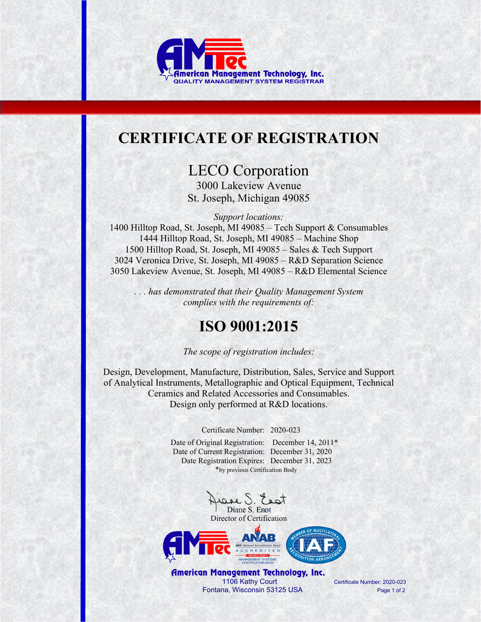

## **CERTIFICATE OF REGISTRATION**

LECO Corporation 3000 Lakeview Avenue St. Joseph, Michigan 49085

*Support locations:* 

1400 Hilltop Road, St. Joseph, MI 49085 – Tech Support & Consumables 1444 Hilltop Road, St. Joseph, MI 49085 – Machine Shop 1500 Hilltop Road, St. Joseph, MI 49085 – Sales & Tech Support 3024 Veronica Drive, St. Joseph, MI 49085 – R&D Separation Science 3050 Lakeview Avenue, St. Joseph, MI 49085 – R&D Elemental Science

*. . . has demonstrated that their Quality Management System complies with the requirements of:* 

## **ISO 9001:2015**

*The scope of registration includes:* 

Design, Development, Manufacture, Distribution, Sales, Service and Support of Analytical Instruments, Metallographic and Optical Equipment, Technical Ceramics and Related Accessories and Consumables. Design only performed at R&D locations.

Certificate Number: 2020-023

Date of Original Registration: December 14, 2011\* Date of Current Registration: December 31, 2020 Date Registration Expires: December 31, 2023 \*by previous Certification Body

Diane S. Enot





American Management Technology, Inc. 1106 Kathy Court Certificate Number: 2020-023 Fontana, Wisconsin 53125 USA Page 1 of 2